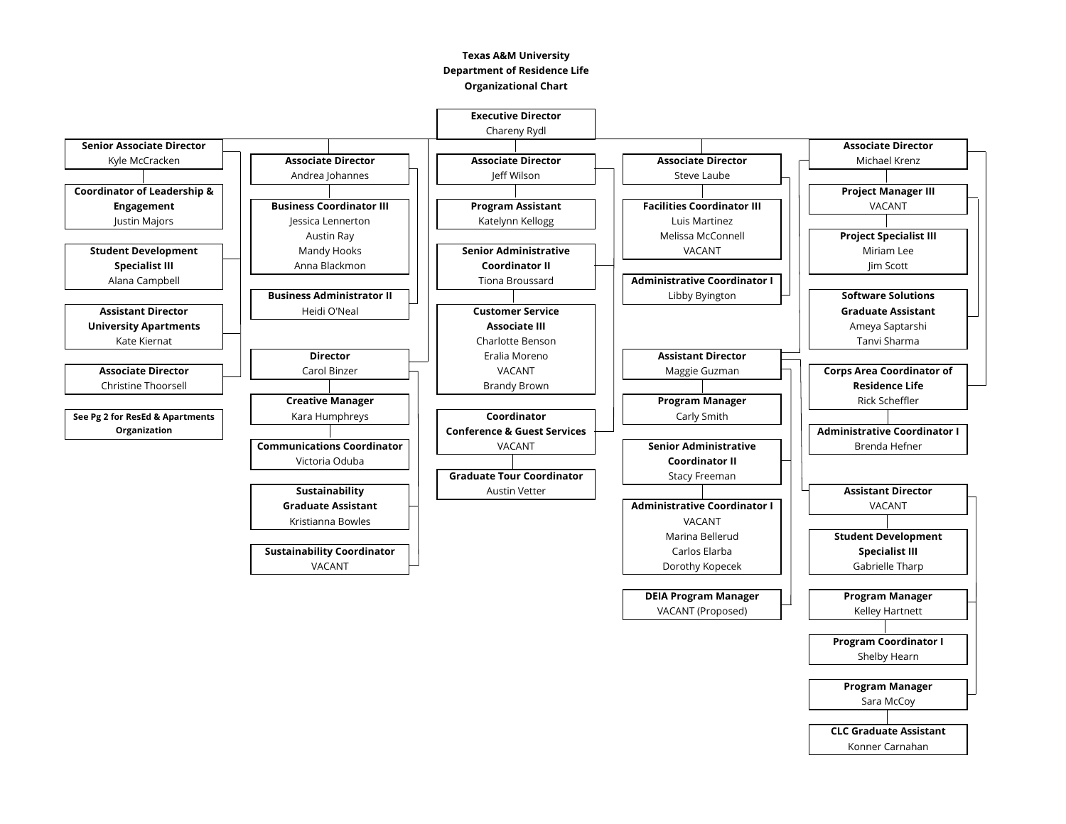## **Texas A&M University Department of Residence Life Organizational Chart**